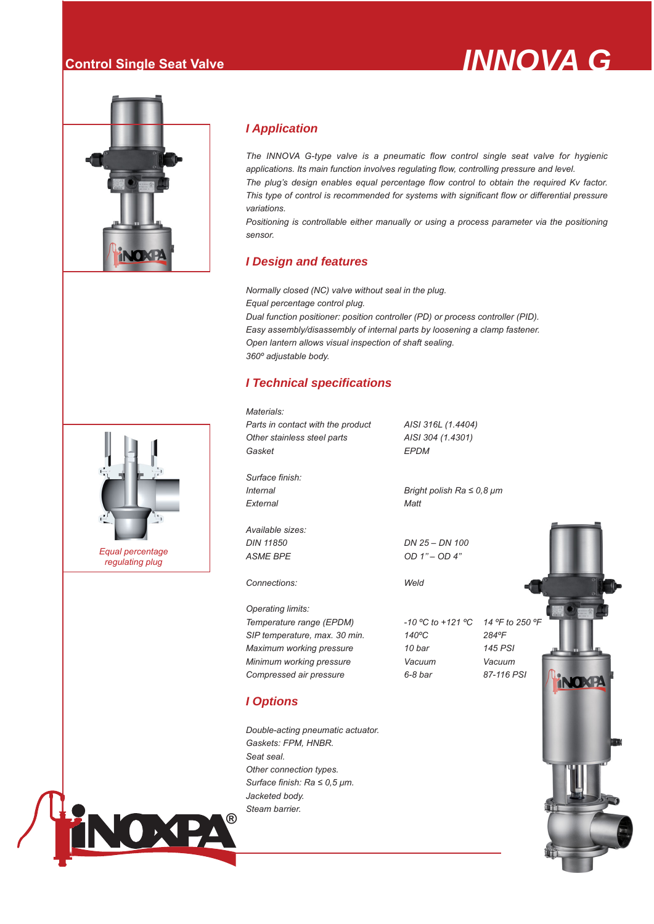# **Control Single Seat Valve** *INNOVA G*



### *I Application*

*The INNOVA G-type valve is a pneumatic flow control single seat valve for hygienic applications. Its main function involves regulating flow, controlling pressure and level.*

*The plug's design enables equal percentage flow control to obtain the required Kv factor. This type of control is recommended for systems with significant flow or differential pressure variations.* 

Positioning is controllable either manually or using a process parameter via the positioning *sensor.*

### *I Design and features*

*Normally closed (NC) valve without seal in the plug. Equal percentage control plug. Dual function positioner: position controller (PD) or process controller (PID). Easy assembly/disassembly of internal parts by loosening a clamp fastener. Open lantern allows visual inspection of shaft sealing. 360º adjustable body.*

### *I Technical specifications*

*Materials: Parts in contact with the product AISI 316L (1.4404) Other stainless steel parts AISI 304 (1.4301) Gasket EPDM Surface finish: Internal Bright polish Ra ≤ 0,8 μm External Matt Available sizes: DIN 11850 DN 25 – DN 100 ASME BPE OD 1'' – OD 4'' Connections: Weld Operating limits:*

*I Options*

*Seat seal.*

*Double-acting pneumatic actuator.*

*Gaskets: FPM, HNBR.*

*Other connection types.*

*Temperature range (EPDM) -10 ºC to +121 ºC 14 ºF to 250 ºF SIP temperature, max. 30 min. 140ºC 284ºF Maximum working pressure 10 bar 145 PSI Minimum working pressure Vacuum Vacuum Compressed air pressure 6-8 bar 87-116 PSI*





*Equal percentage regulating plug*

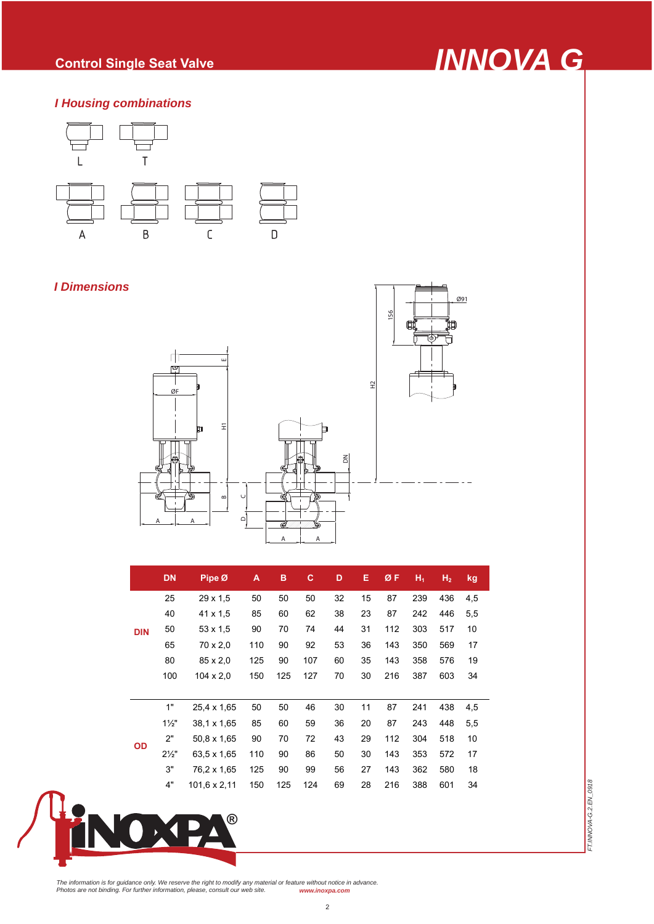# **Control Single Seat Valve** *INNOVA G*

### *I Housing combinations*



### *I Dimensions*



|            | <b>DN</b>      | Pipe Ø           | A   | B   | c   | D  | Е  | ØF  | ${\sf H}_1$ | H <sub>2</sub> | kg  |
|------------|----------------|------------------|-----|-----|-----|----|----|-----|-------------|----------------|-----|
| <b>DIN</b> | 25             | 29 x 1,5         | 50  | 50  | 50  | 32 | 15 | 87  | 239         | 436            | 4,5 |
|            | 40             | 41 x 1,5         | 85  | 60  | 62  | 38 | 23 | 87  | 242         | 446            | 5,5 |
|            | 50             | $53 \times 1.5$  | 90  | 70  | 74  | 44 | 31 | 112 | 303         | 517            | 10  |
|            | 65             | 70 x 2,0         | 110 | 90  | 92  | 53 | 36 | 143 | 350         | 569            | 17  |
|            | 80             | 85 x 2,0         | 125 | 90  | 107 | 60 | 35 | 143 | 358         | 576            | 19  |
|            | 100            | $104 \times 2.0$ | 150 | 125 | 127 | 70 | 30 | 216 | 387         | 603            | 34  |
|            |                |                  |     |     |     |    |    |     |             |                |     |
| <b>OD</b>  | 1"             | 25,4 x 1,65      | 50  | 50  | 46  | 30 | 11 | 87  | 241         | 438            | 4,5 |
|            | $1\frac{1}{2}$ | 38.1 x 1,65      | 85  | 60  | 59  | 36 | 20 | 87  | 243         | 448            | 5,5 |
|            | 2"             | 50.8 x 1.65      | 90  | 70  | 72  | 43 | 29 | 112 | 304         | 518            | 10  |
|            | $2\frac{1}{2}$ | 63.5 x 1.65      | 110 | 90  | 86  | 50 | 30 | 143 | 353         | 572            | 17  |
|            | 3"             | 76,2 x 1,65      | 125 | 90  | 99  | 56 | 27 | 143 | 362         | 580            | 18  |
|            | 4"             | 101,6 x 2,11     | 150 | 125 | 124 | 69 | 28 | 216 | 388         | 601            | 34  |



FT.INNOVA-G.2.EN\_0918 *FT.INNOVA-G.2.EN\_0918*

The information is for guidance only. We reserve the right to modify any material or feature without notice in advance.<br>Photos are not binding. For further information, please, consult our web site.<br>———————————————————————